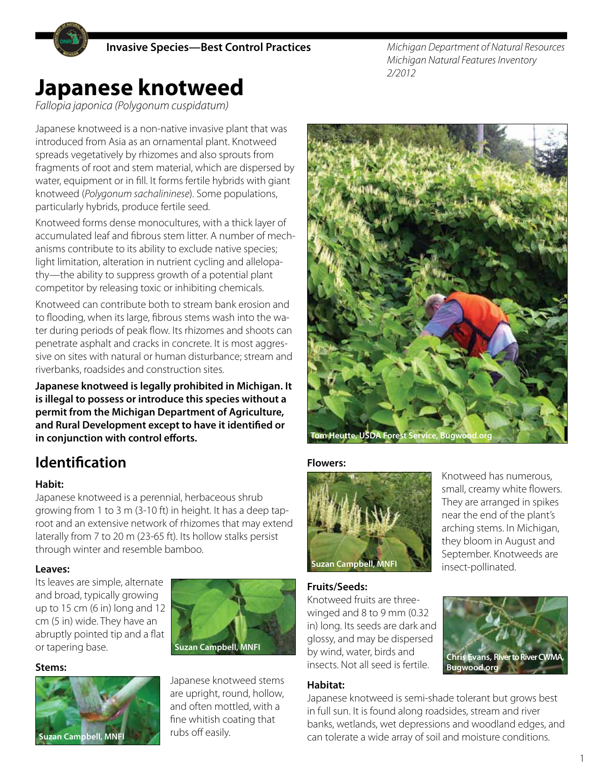*Michigan Department of Natural Resources Michigan Natural Features Inventory 2/2012*

# **Japanese knotweed**

*Fallopia japonica (Polygonum cuspidatum)*

Japanese knotweed is a non-native invasive plant that was introduced from Asia as an ornamental plant. Knotweed spreads vegetatively by rhizomes and also sprouts from fragments of root and stem material, which are dispersed by water, equipment or in fill. It forms fertile hybrids with giant knotweed (*Polygonum sachalininese*). Some populations, particularly hybrids, produce fertile seed.

Knotweed forms dense monocultures, with a thick layer of accumulated leaf and fibrous stem litter. A number of mechanisms contribute to its ability to exclude native species; light limitation, alteration in nutrient cycling and allelopathy—the ability to suppress growth of a potential plant competitor by releasing toxic or inhibiting chemicals.

Knotweed can contribute both to stream bank erosion and to flooding, when its large, fibrous stems wash into the water during periods of peak flow. Its rhizomes and shoots can penetrate asphalt and cracks in concrete. It is most aggressive on sites with natural or human disturbance; stream and riverbanks, roadsides and construction sites.

**Japanese knotweed is legally prohibited in Michigan. It is illegal to possess or introduce this species without a permit from the Michigan Department of Agriculture, and Rural Development except to have it identified or in conjunction with control efforts.**

# **Identification**

#### **Habit:**

Japanese knotweed is a perennial, herbaceous shrub growing from 1 to 3 m (3-10 ft) in height. It has a deep taproot and an extensive network of rhizomes that may extend laterally from 7 to 20 m (23-65 ft). Its hollow stalks persist through winter and resemble bamboo.

#### **Leaves:**

Its leaves are simple, alternate and broad, typically growing up to 15 cm (6 in) long and 12 cm (5 in) wide. They have an abruptly pointed tip and a flat or tapering base.



#### **Stems:**



#### Japanese knotweed stems are upright, round, hollow, and often mottled, with a fine whitish coating that rubs off easily.



#### **Flowers:**



Knotweed has numerous, small, creamy white flowers. They are arranged in spikes near the end of the plant's arching stems. In Michigan, they bloom in August and September. Knotweeds are insect-pollinated.

#### **Fruits/Seeds:**

Knotweed fruits are threewinged and 8 to 9 mm (0.32 in) long. Its seeds are dark and glossy, and may be dispersed by wind, water, birds and insects. Not all seed is fertile.



#### **Habitat:**

Japanese knotweed is semi-shade tolerant but grows best in full sun. It is found along roadsides, stream and river banks, wetlands, wet depressions and woodland edges, and can tolerate a wide array of soil and moisture conditions.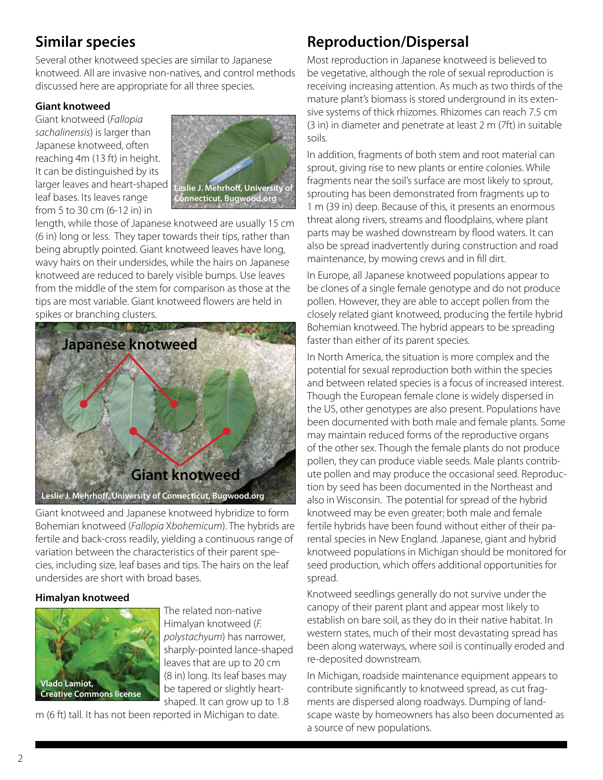# **Similar species**

Several other knotweed species are similar to Japanese knotweed. All are invasive non-natives, and control methods discussed here are appropriate for all three species.

#### **Giant knotweed**

Giant knotweed (*Fallopia sachalinensis*) is larger than Japanese knotweed, often reaching 4m (13 ft) in height. It can be distinguished by its larger leaves and heart-shaped leaf bases. Its leaves range from 5 to 30 cm (6-12 in) in



length, while those of Japanese knotweed are usually 15 cm (6 in) long or less. They taper towards their tips, rather than being abruptly pointed. Giant knotweed leaves have long, wavy hairs on their undersides, while the hairs on Japanese knotweed are reduced to barely visible bumps. Use leaves from the middle of the stem for comparison as those at the tips are most variable. Giant knotweed flowers are held in spikes or branching clusters.



Giant knotweed and Japanese knotweed hybridize to form Bohemian knotweed (*Fallopia* X*bohemicum*). The hybrids are fertile and back-cross readily, yielding a continuous range of variation between the characteristics of their parent species, including size, leaf bases and tips. The hairs on the leaf undersides are short with broad bases.

#### **Himalyan knotweed**



The related non-native Himalyan knotweed (*F. polystachyum*) has narrower, sharply-pointed lance-shaped leaves that are up to 20 cm (8 in) long. Its leaf bases may be tapered or slightly heartshaped. It can grow up to 1.8

m (6 ft) tall. It has not been reported in Michigan to date.

# **Reproduction/Dispersal**

Most reproduction in Japanese knotweed is believed to be vegetative, although the role of sexual reproduction is receiving increasing attention. As much as two thirds of the mature plant's biomass is stored underground in its extensive systems of thick rhizomes. Rhizomes can reach 7.5 cm (3 in) in diameter and penetrate at least 2 m (7ft) in suitable soils.

In addition, fragments of both stem and root material can sprout, giving rise to new plants or entire colonies. While fragments near the soil's surface are most likely to sprout, sprouting has been demonstrated from fragments up to 1 m (39 in) deep. Because of this, it presents an enormous threat along rivers, streams and floodplains, where plant parts may be washed downstream by flood waters. It can also be spread inadvertently during construction and road maintenance, by mowing crews and in fill dirt.

In Europe, all Japanese knotweed populations appear to be clones of a single female genotype and do not produce pollen. However, they are able to accept pollen from the closely related giant knotweed, producing the fertile hybrid Bohemian knotweed. The hybrid appears to be spreading faster than either of its parent species.

In North America, the situation is more complex and the potential for sexual reproduction both within the species and between related species is a focus of increased interest. Though the European female clone is widely dispersed in the US, other genotypes are also present. Populations have been documented with both male and female plants. Some may maintain reduced forms of the reproductive organs of the other sex. Though the female plants do not produce pollen, they can produce viable seeds. Male plants contribute pollen and may produce the occasional seed. Reproduction by seed has been documented in the Northeast and also in Wisconsin. The potential for spread of the hybrid knotweed may be even greater; both male and female fertile hybrids have been found without either of their parental species in New England. Japanese, giant and hybrid knotweed populations in Michigan should be monitored for seed production, which offers additional opportunities for spread.

Knotweed seedlings generally do not survive under the canopy of their parent plant and appear most likely to establish on bare soil, as they do in their native habitat. In western states, much of their most devastating spread has been along waterways, where soil is continually eroded and re-deposited downstream.

In Michigan, roadside maintenance equipment appears to contribute significantly to knotweed spread, as cut fragments are dispersed along roadways. Dumping of landscape waste by homeowners has also been documented as a source of new populations.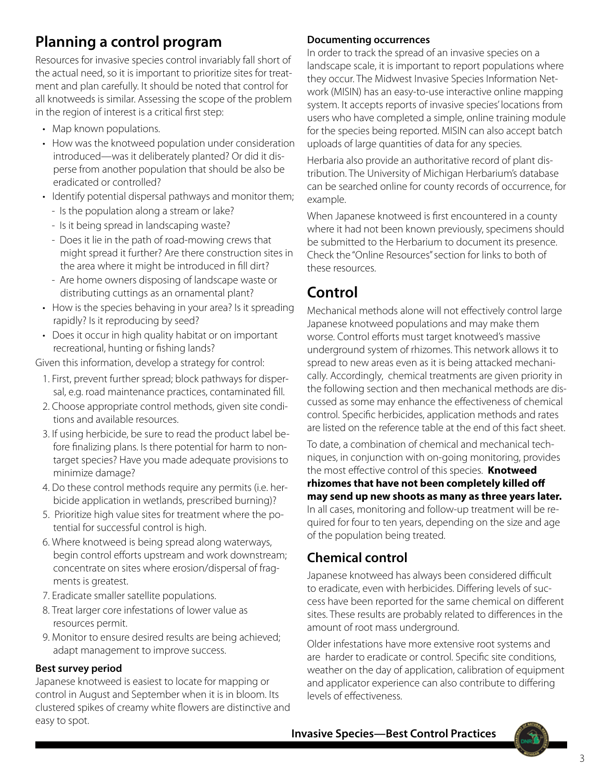# **Planning a control program**

Resources for invasive species control invariably fall short of the actual need, so it is important to prioritize sites for treatment and plan carefully. It should be noted that control for all knotweeds is similar. Assessing the scope of the problem in the region of interest is a critical first step:

- Map known populations.
- How was the knotweed population under consideration introduced—was it deliberately planted? Or did it disperse from another population that should be also be eradicated or controlled?
- Identify potential dispersal pathways and monitor them;
	- Is the population along a stream or lake?
	- Is it being spread in landscaping waste?
	- Does it lie in the path of road-mowing crews that might spread it further? Are there construction sites in the area where it might be introduced in fill dirt?
	- Are home owners disposing of landscape waste or distributing cuttings as an ornamental plant?
- How is the species behaving in your area? Is it spreading rapidly? Is it reproducing by seed?
- Does it occur in high quality habitat or on important recreational, hunting or fishing lands?

Given this information, develop a strategy for control:

- 1. First, prevent further spread; block pathways for dispersal, e.g. road maintenance practices, contaminated fill.
- 2. Choose appropriate control methods, given site conditions and available resources.
- 3. If using herbicide, be sure to read the product label before finalizing plans. Is there potential for harm to nontarget species? Have you made adequate provisions to minimize damage?
- 4. Do these control methods require any permits (i.e. herbicide application in wetlands, prescribed burning)?
- 5. Prioritize high value sites for treatment where the potential for successful control is high.
- 6. Where knotweed is being spread along waterways, begin control efforts upstream and work downstream; concentrate on sites where erosion/dispersal of fragments is greatest.
- 7. Eradicate smaller satellite populations.
- 8. Treat larger core infestations of lower value as resources permit.
- 9. Monitor to ensure desired results are being achieved; adapt management to improve success.

#### **Best survey period**

Japanese knotweed is easiest to locate for mapping or control in August and September when it is in bloom. Its clustered spikes of creamy white flowers are distinctive and easy to spot.

#### **Documenting occurrences**

In order to track the spread of an invasive species on a landscape scale, it is important to report populations where they occur. The Midwest Invasive Species Information Network (MISIN) has an easy-to-use interactive online mapping system. It accepts reports of invasive species' locations from users who have completed a simple, online training module for the species being reported. MISIN can also accept batch uploads of large quantities of data for any species.

Herbaria also provide an authoritative record of plant distribution. The University of Michigan Herbarium's database can be searched online for county records of occurrence, for example.

When Japanese knotweed is first encountered in a county where it had not been known previously, specimens should be submitted to the Herbarium to document its presence. Check the "Online Resources" section for links to both of these resources.

### **Control**

Mechanical methods alone will not effectively control large Japanese knotweed populations and may make them worse. Control efforts must target knotweed's massive underground system of rhizomes. This network allows it to spread to new areas even as it is being attacked mechanically. Accordingly, chemical treatments are given priority in the following section and then mechanical methods are discussed as some may enhance the effectiveness of chemical control. Specific herbicides, application methods and rates are listed on the reference table at the end of this fact sheet.

To date, a combination of chemical and mechanical techniques, in conjunction with on-going monitoring, provides the most effective control of this species. **Knotweed** 

**rhizomes that have not been completely killed off may send up new shoots as many as three years later.**  In all cases, monitoring and follow-up treatment will be required for four to ten years, depending on the size and age of the population being treated.

### **Chemical control**

Japanese knotweed has always been considered difficult to eradicate, even with herbicides. Differing levels of success have been reported for the same chemical on different sites. These results are probably related to differences in the amount of root mass underground.

Older infestations have more extensive root systems and are harder to eradicate or control. Specific site conditions, weather on the day of application, calibration of equipment and applicator experience can also contribute to differing levels of effectiveness.

**Invasive Species—Best Control Practices**

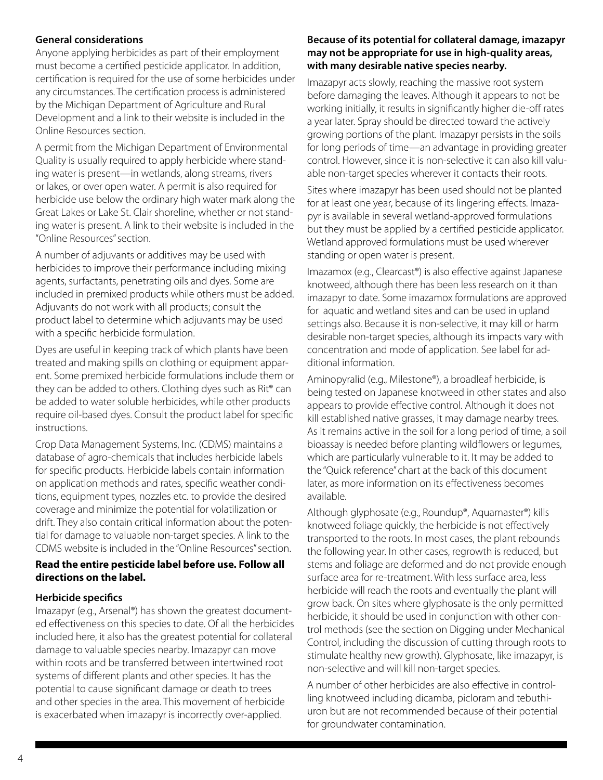#### **General considerations**

Anyone applying herbicides as part of their employment must become a certified pesticide applicator. In addition, certification is required for the use of some herbicides under any circumstances. The certification process is administered by the Michigan Department of Agriculture and Rural Development and a link to their website is included in the Online Resources section.

A permit from the Michigan Department of Environmental Quality is usually required to apply herbicide where standing water is present—in wetlands, along streams, rivers or lakes, or over open water. A permit is also required for herbicide use below the ordinary high water mark along the Great Lakes or Lake St. Clair shoreline, whether or not standing water is present. A link to their website is included in the "Online Resources" section.

A number of adjuvants or additives may be used with herbicides to improve their performance including mixing agents, surfactants, penetrating oils and dyes. Some are included in premixed products while others must be added. Adjuvants do not work with all products; consult the product label to determine which adjuvants may be used with a specific herbicide formulation.

Dyes are useful in keeping track of which plants have been treated and making spills on clothing or equipment apparent. Some premixed herbicide formulations include them or they can be added to others. Clothing dyes such as Rit® can be added to water soluble herbicides, while other products require oil-based dyes. Consult the product label for specific instructions.

Crop Data Management Systems, Inc. (CDMS) maintains a database of agro-chemicals that includes herbicide labels for specific products. Herbicide labels contain information on application methods and rates, specific weather conditions, equipment types, nozzles etc. to provide the desired coverage and minimize the potential for volatilization or drift. They also contain critical information about the potential for damage to valuable non-target species. A link to the CDMS website is included in the "Online Resources" section.

#### **Read the entire pesticide label before use. Follow all directions on the label.**

#### **Herbicide specifics**

Imazapyr (e.g., Arsenal®) has shown the greatest documented effectiveness on this species to date. Of all the herbicides included here, it also has the greatest potential for collateral damage to valuable species nearby. Imazapyr can move within roots and be transferred between intertwined root systems of different plants and other species. It has the potential to cause significant damage or death to trees and other species in the area. This movement of herbicide is exacerbated when imazapyr is incorrectly over-applied.

#### **Because of its potential for collateral damage, imazapyr may not be appropriate for use in high-quality areas, with many desirable native species nearby.**

Imazapyr acts slowly, reaching the massive root system before damaging the leaves. Although it appears to not be working initially, it results in significantly higher die-off rates a year later. Spray should be directed toward the actively growing portions of the plant. Imazapyr persists in the soils for long periods of time—an advantage in providing greater control. However, since it is non-selective it can also kill valuable non-target species wherever it contacts their roots.

Sites where imazapyr has been used should not be planted for at least one year, because of its lingering effects. Imazapyr is available in several wetland-approved formulations but they must be applied by a certified pesticide applicator. Wetland approved formulations must be used wherever standing or open water is present.

Imazamox (e.g., Clearcast®) is also effective against Japanese knotweed, although there has been less research on it than imazapyr to date. Some imazamox formulations are approved for aquatic and wetland sites and can be used in upland settings also. Because it is non-selective, it may kill or harm desirable non-target species, although its impacts vary with concentration and mode of application. See label for additional information.

Aminopyralid (e.g., Milestone®), a broadleaf herbicide, is being tested on Japanese knotweed in other states and also appears to provide effective control. Although it does not kill established native grasses, it may damage nearby trees. As it remains active in the soil for a long period of time, a soil bioassay is needed before planting wildflowers or legumes, which are particularly vulnerable to it. It may be added to the "Quick reference" chart at the back of this document later, as more information on its effectiveness becomes available.

Although glyphosate (e.g., Roundup®, Aquamaster®) kills knotweed foliage quickly, the herbicide is not effectively transported to the roots. In most cases, the plant rebounds the following year. In other cases, regrowth is reduced, but stems and foliage are deformed and do not provide enough surface area for re-treatment. With less surface area, less herbicide will reach the roots and eventually the plant will grow back. On sites where glyphosate is the only permitted herbicide, it should be used in conjunction with other control methods (see the section on Digging under Mechanical Control, including the discussion of cutting through roots to stimulate healthy new growth). Glyphosate, like imazapyr, is non-selective and will kill non-target species.

A number of other herbicides are also effective in controlling knotweed including dicamba, picloram and tebuthiuron but are not recommended because of their potential for groundwater contamination.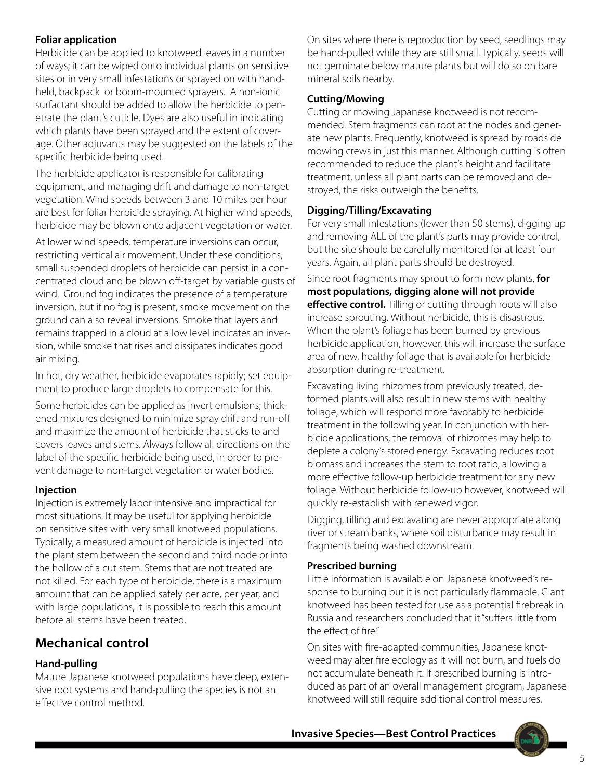#### **Foliar application**

Herbicide can be applied to knotweed leaves in a number of ways; it can be wiped onto individual plants on sensitive sites or in very small infestations or sprayed on with handheld, backpack or boom-mounted sprayers. A non-ionic surfactant should be added to allow the herbicide to penetrate the plant's cuticle. Dyes are also useful in indicating which plants have been sprayed and the extent of coverage. Other adjuvants may be suggested on the labels of the specific herbicide being used.

The herbicide applicator is responsible for calibrating equipment, and managing drift and damage to non-target vegetation. Wind speeds between 3 and 10 miles per hour are best for foliar herbicide spraying. At higher wind speeds, herbicide may be blown onto adjacent vegetation or water.

At lower wind speeds, temperature inversions can occur, restricting vertical air movement. Under these conditions, small suspended droplets of herbicide can persist in a concentrated cloud and be blown off-target by variable gusts of wind. Ground fog indicates the presence of a temperature inversion, but if no fog is present, smoke movement on the ground can also reveal inversions. Smoke that layers and remains trapped in a cloud at a low level indicates an inversion, while smoke that rises and dissipates indicates good air mixing.

In hot, dry weather, herbicide evaporates rapidly; set equipment to produce large droplets to compensate for this.

Some herbicides can be applied as invert emulsions; thickened mixtures designed to minimize spray drift and run-off and maximize the amount of herbicide that sticks to and covers leaves and stems. Always follow all directions on the label of the specific herbicide being used, in order to prevent damage to non-target vegetation or water bodies.

#### **Injection**

Injection is extremely labor intensive and impractical for most situations. It may be useful for applying herbicide on sensitive sites with very small knotweed populations. Typically, a measured amount of herbicide is injected into the plant stem between the second and third node or into the hollow of a cut stem. Stems that are not treated are not killed. For each type of herbicide, there is a maximum amount that can be applied safely per acre, per year, and with large populations, it is possible to reach this amount before all stems have been treated.

### **Mechanical control**

#### **Hand-pulling**

Mature Japanese knotweed populations have deep, extensive root systems and hand-pulling the species is not an effective control method.

On sites where there is reproduction by seed, seedlings may be hand-pulled while they are still small. Typically, seeds will not germinate below mature plants but will do so on bare mineral soils nearby.

#### **Cutting/Mowing**

Cutting or mowing Japanese knotweed is not recommended. Stem fragments can root at the nodes and generate new plants. Frequently, knotweed is spread by roadside mowing crews in just this manner. Although cutting is often recommended to reduce the plant's height and facilitate treatment, unless all plant parts can be removed and destroyed, the risks outweigh the benefits.

#### **Digging/Tilling/Excavating**

For very small infestations (fewer than 50 stems), digging up and removing ALL of the plant's parts may provide control, but the site should be carefully monitored for at least four years. Again, all plant parts should be destroyed.

Since root fragments may sprout to form new plants, **for most populations, digging alone will not provide effective control.** Tilling or cutting through roots will also increase sprouting. Without herbicide, this is disastrous. When the plant's foliage has been burned by previous herbicide application, however, this will increase the surface area of new, healthy foliage that is available for herbicide absorption during re-treatment.

Excavating living rhizomes from previously treated, deformed plants will also result in new stems with healthy foliage, which will respond more favorably to herbicide treatment in the following year. In conjunction with herbicide applications, the removal of rhizomes may help to deplete a colony's stored energy. Excavating reduces root biomass and increases the stem to root ratio, allowing a more effective follow-up herbicide treatment for any new foliage. Without herbicide follow-up however, knotweed will quickly re-establish with renewed vigor.

Digging, tilling and excavating are never appropriate along river or stream banks, where soil disturbance may result in fragments being washed downstream.

#### **Prescribed burning**

Little information is available on Japanese knotweed's response to burning but it is not particularly flammable. Giant knotweed has been tested for use as a potential firebreak in Russia and researchers concluded that it "suffers little from the effect of fire."

On sites with fire-adapted communities, Japanese knotweed may alter fire ecology as it will not burn, and fuels do not accumulate beneath it. If prescribed burning is introduced as part of an overall management program, Japanese knotweed will still require additional control measures.

**Invasive Species—Best Control Practices**

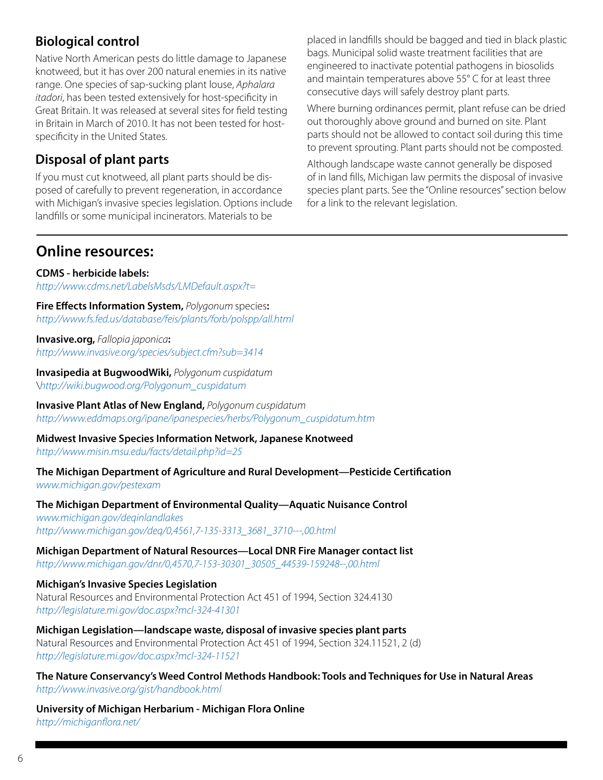### **Biological control**

Native North American pests do little damage to Japanese knotweed, but it has over 200 natural enemies in its native range. One species of sap-sucking plant louse, *Aphalara itadori*, has been tested extensively for host-specificity in Great Britain. It was released at several sites for field testing in Britain in March of 2010. It has not been tested for hostspecificity in the United States.

### **Disposal of plant parts**

If you must cut knotweed, all plant parts should be disposed of carefully to prevent regeneration, in accordance with Michigan's invasive species legislation. Options include landfills or some municipal incinerators. Materials to be

placed in landfills should be bagged and tied in black plastic bags. Municipal solid waste treatment facilities that are engineered to inactivate potential pathogens in biosolids and maintain temperatures above 55° C for at least three consecutive days will safely destroy plant parts.

Where burning ordinances permit, plant refuse can be dried out thoroughly above ground and burned on site. Plant parts should not be allowed to contact soil during this time to prevent sprouting. Plant parts should not be composted.

Although landscape waste cannot generally be disposed of in land fills, Michigan law permits the disposal of invasive species plant parts. See the "Online resources" section below for a link to the relevant legislation.

### **Online resources:**

**CDMS - herbicide labels:** *http://www.cdms.net/LabelsMsds/LMDefault.aspx?t=*

**Fire Effects Information System,** *Polygonum* species**:**  *http://www.fs.fed.us/database/feis/plants/forb/polspp/all.html*

**Invasive.org,** *Fallopia japonica***:** *http://www.invasive.org/species/subject.cfm?sub=3414*

**Invasipedia at BugwoodWiki,** *Polygonum cuspidatum* \*http://wiki.bugwood.org/Polygonum\_cuspidatum*

**Invasive Plant Atlas of New England,** *Polygonum cuspidatum http://www.eddmaps.org/ipane/ipanespecies/herbs/Polygonum\_cuspidatum.htm*

**Midwest Invasive Species Information Network, Japanese Knotweed** *http://www.misin.msu.edu/facts/detail.php?id=25*

**The Michigan Department of Agriculture and Rural Development—Pesticide Certification** *www.michigan.gov/pestexam* 

**The Michigan Department of Environmental Quality—Aquatic Nuisance Control** *www.michigan.gov/deqinlandlakes [http://www.michigan.gov/deq/0,4561,7-135-3313\\_3681\\_3710---,00.html](http://www.michigan.gov/deq/0,4561,7-135-3313_3681_3710---,00.html)*

**Michigan Department of Natural Resources—Local DNR Fire Manager contact list** *[http://www.michigan.gov/dnr/0,4570,7-153-30301\\_30505\\_44539-159248--,00.html](http://www.michigan.gov/dnr/0,4570,7-153-30301_30505_44539-159248--,00.html)*

**Michigan's Invasive Species Legislation** Natural Resources and Environmental Protection Act 451 of 1994, Section 324.4130 *http://legislature.mi.gov/doc.aspx?mcl-324-41301*

**Michigan Legislation—landscape waste, disposal of invasive species plant parts** Natural Resources and Environmental Protection Act 451 of 1994, Section 324.11521, 2 (d) *http://legislature.mi.gov/doc.aspx?mcl-324-11521*

**The Nature Conservancy's Weed Control Methods Handbook: Tools and Techniques for Use in Natural Areas** *http://www.invasive.org/gist/handbook.html*

**University of Michigan Herbarium - Michigan Flora Online** *http://michiganflora.net/*